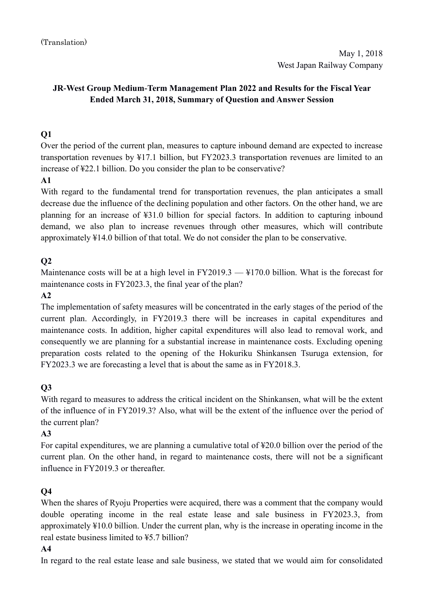# **JR-West Group Medium-Term Management Plan 2022 and Results for the Fiscal Year Ended March 31, 2018, Summary of Question and Answer Session**

# **Q1**

Over the period of the current plan, measures to capture inbound demand are expected to increase transportation revenues by ¥17.1 billion, but FY2023.3 transportation revenues are limited to an increase of ¥22.1 billion. Do you consider the plan to be conservative?

#### **A1**

With regard to the fundamental trend for transportation revenues, the plan anticipates a small decrease due the influence of the declining population and other factors. On the other hand, we are planning for an increase of ¥31.0 billion for special factors. In addition to capturing inbound demand, we also plan to increase revenues through other measures, which will contribute approximately ¥14.0 billion of that total. We do not consider the plan to be conservative.

# **Q2**

Maintenance costs will be at a high level in FY2019.3 — ¥170.0 billion. What is the forecast for maintenance costs in FY2023.3, the final year of the plan?

#### **A2**

The implementation of safety measures will be concentrated in the early stages of the period of the current plan. Accordingly, in FY2019.3 there will be increases in capital expenditures and maintenance costs. In addition, higher capital expenditures will also lead to removal work, and consequently we are planning for a substantial increase in maintenance costs. Excluding opening preparation costs related to the opening of the Hokuriku Shinkansen Tsuruga extension, for FY2023.3 we are forecasting a level that is about the same as in FY2018.3.

#### **Q3**

With regard to measures to address the critical incident on the Shinkansen, what will be the extent of the influence of in FY2019.3? Also, what will be the extent of the influence over the period of the current plan?

#### **A3**

For capital expenditures, we are planning a cumulative total of ¥20.0 billion over the period of the current plan. On the other hand, in regard to maintenance costs, there will not be a significant influence in FY2019.3 or thereafter.

#### **Q4**

When the shares of Ryoju Properties were acquired, there was a comment that the company would double operating income in the real estate lease and sale business in FY2023.3, from approximately ¥10.0 billion. Under the current plan, why is the increase in operating income in the real estate business limited to ¥5.7 billion?

#### **A4**

In regard to the real estate lease and sale business, we stated that we would aim for consolidated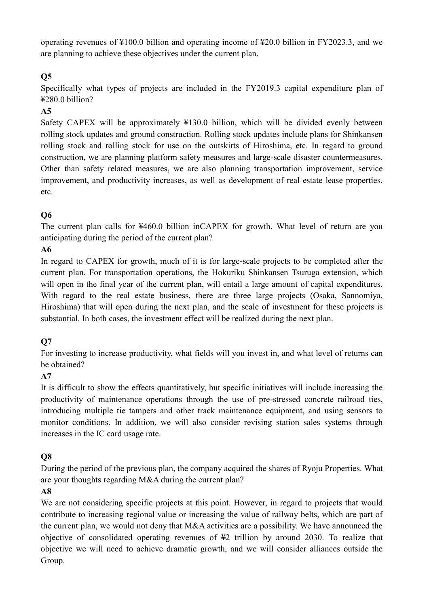operating revenues of ¥100.0 billion and operating income of ¥20.0 billion in FY2023.3, and we are planning to achieve these objectives under the current plan.

# **Q5**

Specifically what types of projects are included in the FY2019.3 capital expenditure plan of ¥280.0 billion?

### **A5**

Safety CAPEX will be approximately ¥130.0 billion, which will be divided evenly between rolling stock updates and ground construction. Rolling stock updates include plans for Shinkansen rolling stock and rolling stock for use on the outskirts of Hiroshima, etc. In regard to ground construction, we are planning platform safety measures and large-scale disaster countermeasures. Other than safety related measures, we are also planning transportation improvement, service improvement, and productivity increases, as well as development of real estate lease properties, etc.

# **Q6**

The current plan calls for ¥460.0 billion inCAPEX for growth. What level of return are you anticipating during the period of the current plan?

# **A6**

In regard to CAPEX for growth, much of it is for large-scale projects to be completed after the current plan. For transportation operations, the Hokuriku Shinkansen Tsuruga extension, which will open in the final year of the current plan, will entail a large amount of capital expenditures. With regard to the real estate business, there are three large projects (Osaka, Sannomiya, Hiroshima) that will open during the next plan, and the scale of investment for these projects is substantial. In both cases, the investment effect will be realized during the next plan.

#### **Q7**

For investing to increase productivity, what fields will you invest in, and what level of returns can be obtained?

#### **A7**

It is difficult to show the effects quantitatively, but specific initiatives will include increasing the productivity of maintenance operations through the use of pre-stressed concrete railroad ties, introducing multiple tie tampers and other track maintenance equipment, and using sensors to monitor conditions. In addition, we will also consider revising station sales systems through increases in the IC card usage rate.

#### **Q8**

During the period of the previous plan, the company acquired the shares of Ryoju Properties. What are your thoughts regarding M&A during the current plan?

#### **A8**

We are not considering specific projects at this point. However, in regard to projects that would contribute to increasing regional value or increasing the value of railway belts, which are part of the current plan, we would not deny that M&A activities are a possibility. We have announced the objective of consolidated operating revenues of ¥2 trillion by around 2030. To realize that objective we will need to achieve dramatic growth, and we will consider alliances outside the Group.